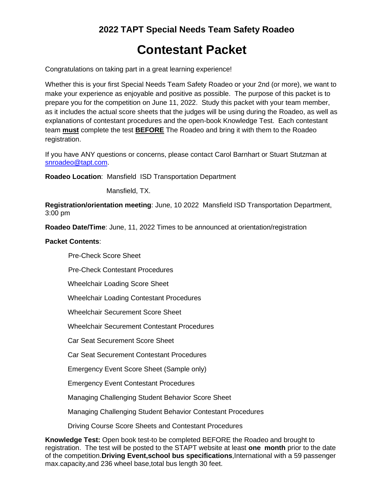## **2022 TAPT Special Needs Team Safety Roadeo**

# **Contestant Packet**

Congratulations on taking part in a great learning experience!

Whether this is your first Special Needs Team Safety Roadeo or your 2nd (or more), we want to make your experience as enjoyable and positive as possible. The purpose of this packet is to prepare you for the competition on June 11, 2022. Study this packet with your team member, as it includes the actual score sheets that the judges will be using during the Roadeo, as well as explanations of contestant procedures and the open-book Knowledge Test. Each contestant team **must** complete the test **BEFORE** The Roadeo and bring it with them to the Roadeo registration.

If you have ANY questions or concerns, please contact Carol Barnhart or Stuart Stutzman at [snroadeo@tapt.com.](mailto:snroadeo@tapt.com)

**Roadeo Location**: Mansfield ISD Transportation Department

Mansfield, TX.

**Registration/orientation meeting**: June, 10 2022 Mansfield ISD Transportation Department, 3:00 pm

**Roadeo Date/Time**: June, 11, 2022 Times to be announced at orientation/registration

#### **Packet Contents**:

Pre-Check Score Sheet

Pre-Check Contestant Procedures

Wheelchair Loading Score Sheet

Wheelchair Loading Contestant Procedures

Wheelchair Securement Score Sheet

Wheelchair Securement Contestant Procedures

Car Seat Securement Score Sheet

Car Seat Securement Contestant Procedures

Emergency Event Score Sheet (Sample only)

Emergency Event Contestant Procedures

Managing Challenging Student Behavior Score Sheet

Managing Challenging Student Behavior Contestant Procedures

Driving Course Score Sheets and Contestant Procedures

**Knowledge Test:** Open book test-to be completed BEFORE the Roadeo and brought to registration. The test will be posted to the STAPT website at least **one month** prior to the date of the competition.**Driving Event,school bus specifications**,International with a 59 passenger max.capacity,and 236 wheel base,total bus length 30 feet.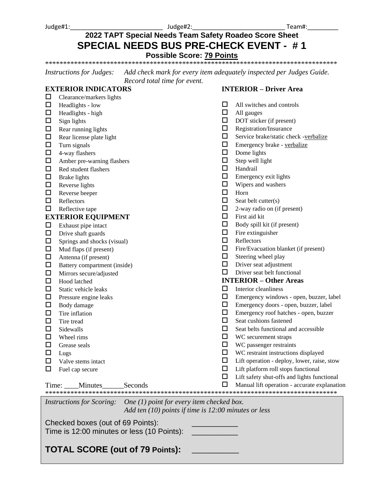Judge#1:\_\_\_\_\_\_\_\_\_\_\_\_\_\_\_\_\_\_\_\_\_\_\_\_\_\_\_ Judge#2:\_\_\_\_\_\_\_\_\_\_\_\_\_\_\_\_\_\_\_\_\_\_\_\_\_\_\_ Team#:\_\_\_\_\_\_\_\_\_

## **2022 TAPT Special Needs Team Safety Roadeo Score Sheet SPECIAL NEEDS BUS PRE-CHECK EVENT - # 1**

**Possible Score: 79 Points**

\*\*\*\*\*\*\*\*\*\*\*\*\*\*\*\*\*\*\*\*\*\*\*\*\*\*\*\*\*\*\*\*\*\*\*\*\*\*\*\*\*\*\*\*\*\*\*\*\*\*\*\*\*\*\*\*\*\*\*\*\*\*\*\*\*\*\*\*\*\*\*\*\*\*\*\*\*\*\*\*\*

*Instructions for Judges: Add check mark for every item adequately inspected per Judges Guide. Record total time for event.*

### **EXTERIOR INDICATORS**

### **INTERIOR – Driver Area**

| $\Box$ | Clearance/markers lights                                                     |        |                                              |
|--------|------------------------------------------------------------------------------|--------|----------------------------------------------|
| □      | Headlights - low                                                             | □      | All switches and controls                    |
| $\Box$ | Headlights - high                                                            | □      | All gauges                                   |
| $\Box$ | Sign lights                                                                  | □      | DOT sticker (if present)                     |
| $\Box$ | Rear running lights                                                          | □      | Registration/Insurance                       |
| $\Box$ | Rear license plate light                                                     | □      | Service brake/static check -verbalize        |
| $\Box$ | Turn signals                                                                 | □      | Emergency brake - verbalize                  |
| $\Box$ | 4-way flashers                                                               | □      | Dome lights                                  |
| $\Box$ | Amber pre-warning flashers                                                   | □      | Step well light                              |
| □      | Red student flashers                                                         | $\Box$ | Handrail                                     |
| $\Box$ | <b>Brake lights</b>                                                          | ◻      | Emergency exit lights                        |
| $\Box$ | Reverse lights                                                               | ◻      | Wipers and washers                           |
| $\Box$ | Reverse beeper                                                               | □      | Horn                                         |
| $\Box$ | Reflectors                                                                   | $\Box$ | Seat belt cutter(s)                          |
| $\Box$ | Reflective tape                                                              | □      | 2-way radio on (if present)                  |
|        | <b>EXTERIOR EQUIPMENT</b>                                                    | $\Box$ | First aid kit                                |
| $\Box$ | Exhaust pipe intact                                                          | □      | Body spill kit (if present)                  |
| $\Box$ | Drive shaft guards                                                           | ◻      | Fire extinguisher                            |
| $\Box$ | Springs and shocks (visual)                                                  | □      | Reflectors                                   |
| $\Box$ | Mud flaps (if present)                                                       | □      | Fire/Evacuation blanket (if present)         |
| $\Box$ | Antenna (if present)                                                         | □      | Steering wheel play                          |
| $\Box$ | Battery compartment (inside)                                                 | □      | Driver seat adjustment                       |
| $\Box$ | Mirrors secure/adjusted                                                      | □      | Driver seat belt functional                  |
| $\Box$ | Hood latched                                                                 |        | <b>INTERIOR - Other Areas</b>                |
| □      | Static vehicle leaks                                                         | □      | Interior cleanliness                         |
| □      | Pressure engine leaks                                                        | □      | Emergency windows - open, buzzer, label      |
| $\Box$ | Body damage                                                                  | □      | Emergency doors - open, buzzer, label        |
| $\Box$ | Tire inflation                                                               | □      | Emergency roof hatches - open, buzzer        |
| $\Box$ | Tire tread                                                                   | □      | Seat cushions fastened                       |
| $\Box$ | Sidewalls                                                                    | □      | Seat belts functional and accessible         |
| $\Box$ | Wheel rims                                                                   | □      | WC securement straps                         |
| $\Box$ | Grease seals                                                                 | □      | WC passenger restraints                      |
| $\Box$ | Lugs                                                                         | □      | WC restraint instructions displayed          |
| □      | Valve stems intact                                                           | □      | Lift operation - deploy, lower, raise, stow  |
| □      | Fuel cap secure                                                              | $\Box$ | Lift platform roll stops functional          |
|        |                                                                              |        | Lift safety shut-offs and lights functional  |
|        | Time: Minutes Seconds                                                        |        | Manual lift operation - accurate explanation |
|        |                                                                              |        |                                              |
|        | <i>Instructions for Scoring:</i> One $(1)$ point for every item checked box. |        |                                              |
|        | Add ten $(10)$ points if time is 12:00 minutes or less                       |        |                                              |
|        |                                                                              |        |                                              |
|        | Checked boxes (out of 69 Points):                                            |        |                                              |
|        | Time is 12:00 minutes or less (10 Points):                                   |        |                                              |
|        |                                                                              |        |                                              |

## **TOTAL SCORE (out of 79 Points): \_\_\_\_\_\_\_\_\_\_\_\_\_**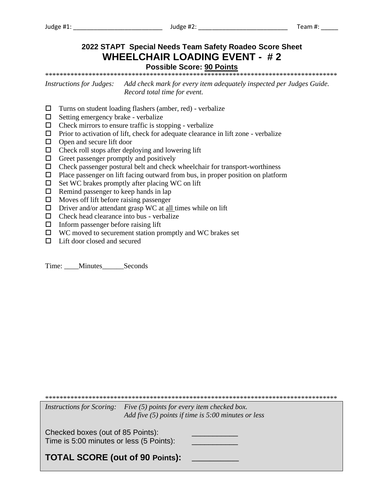Judge #1:

## 2022 STAPT Special Needs Team Safety Roadeo Score Sheet **WHEELCHAIR LOADING EVENT - #2 Possible Score: 90 Points**

**Instructions for Judges:** Add check mark for every item adequately inspected per Judges Guide. Record total time for event.

- $\Box$  Turns on student loading flashers (amber, red) verbalize
- $\Box$  Setting emergency brake verbalize
- $\Box$  Check mirrors to ensure traffic is stopping verbalize
- $\Box$  Prior to activation of lift, check for adequate clearance in lift zone verbalize
- $\Box$  Open and secure lift door
- $\Box$  Check roll stops after deploying and lowering lift
- $\Box$  Greet passenger promptly and positively
- $\Box$  Check passenger postural belt and check wheelchair for transport-worthiness
- $\Box$  Place passenger on lift facing outward from bus, in proper position on platform
- $\Box$  Set WC brakes promptly after placing WC on lift
- $\Box$  Remind passenger to keep hands in lap
- $\Box$  Moves off lift before raising passenger
- $\Box$  Driver and/or attendant grasp WC at <u>all</u> times while on lift
- $\Box$  Check head clearance into bus verbalize
- $\Box$  Inform passenger before raising lift
- $\Box$  WC moved to securement station promptly and WC brakes set
- $\Box$  Lift door closed and secured

Time: \_\_\_\_Minutes\_\_\_\_\_\_Seconds

Instructions for Scoring: Five (5) points for every item checked box.

Add five  $(5)$  points if time is 5:00 minutes or less

Checked boxes (out of 85 Points): Time is 5:00 minutes or less (5 Points):

**TOTAL SCORE (out of 90 Points):**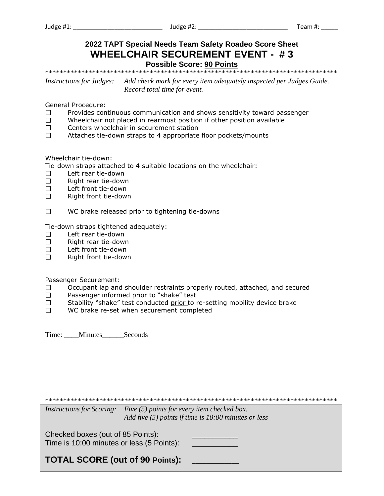## 2022 TAPT Special Needs Team Safety Roadeo Score Sheet **WHEELCHAIR SECUREMENT EVENT - #3 Possible Score: 90 Points**

Add check mark for every item adequately inspected per Judges Guide. *Instructions for Judges:* Record total time for event.

General Procedure:

- $\Box$ Provides continuous communication and shows sensitivity toward passenger
- $\Box$ Wheelchair not placed in rearmost position if other position available
- $\Box$ Centers wheelchair in securement station
- $\Box$ Attaches tie-down straps to 4 appropriate floor pockets/mounts

Wheelchair tie-down:

Tie-down straps attached to 4 suitable locations on the wheelchair:

- $\Box$ Left rear tie-down
- $\Box$ Right rear tie-down
- $\Box$ Left front tie-down
- $\Box$ Right front tie-down
- $\Box$ WC brake released prior to tightening tie-downs

Tie-down straps tightened adequately:

- Left rear tie-down  $\Box$
- $\Box$ Right rear tie-down
- $\Box$ Left front tie-down
- Right front tie-down  $\Box$

Passenger Securement:

- Occupant lap and shoulder restraints properly routed, attached, and secured  $\Box$
- $\Box$ Passenger informed prior to "shake" test
- $\Box$ Stability "shake" test conducted prior to re-setting mobility device brake
- $\Box$ WC brake re-set when securement completed

Time: Minutes Seconds

Instructions for Scoring: Five (5) points for every item checked box. Add five  $(5)$  points if time is 10:00 minutes or less

Checked boxes (out of 85 Points): Time is 10:00 minutes or less (5 Points):

**TOTAL SCORE (out of 90 Points):**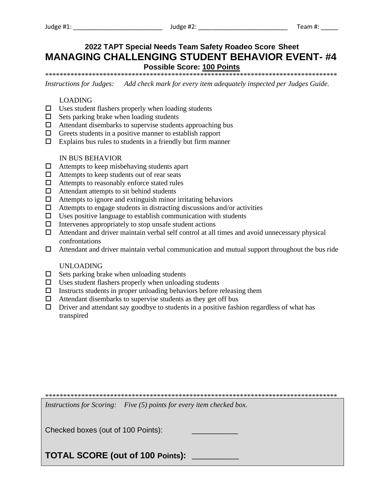## 2022 TAPT Special Needs Team Safety Roadeo Score Sheet **MANAGING CHALLENGING STUDENT BEHAVIOR EVENT-#4 Possible Score: 100 Points**

*Instructions for Judges:* Add check mark for every item adequately inspected per Judges Guide.

#### **LOADING**

- $\Box$  Uses student flashers properly when loading students
- $\Box$  Sets parking brake when loading students
- $\Box$  Attendant disembarks to supervise students approaching bus
- $\Box$  Greets students in a positive manner to establish rapport
- $\Box$  Explains bus rules to students in a friendly but firm manner

#### **IN BUS BEHAVIOR**

- $\Box$  Attempts to keep misbehaving students apart
- $\Box$  Attempts to keep students out of rear seats
- $\Box$  Attempts to reasonably enforce stated rules
- $\Box$  Attendant attempts to sit behind students
- $\Box$  Attempts to ignore and extinguish minor irritating behaviors
- $\Box$  Attempts to engage students in distracting discussions and/or activities
- $\Box$  Uses positive language to establish communication with students
- $\Box$  Intervenes appropriately to stop unsafe student actions
- $\Box$  Attendant and driver maintain verbal self control at all times and avoid unnecessary physical confrontations
- $\Box$  Attendant and driver maintain verbal communication and mutual support throughout the bus ride

#### **UNLOADING**

- $\Box$  Sets parking brake when unloading students
- $\square$  Uses student flashers properly when unloading students
- $\Box$  Instructs students in proper unloading behaviors before releasing them
- $\Box$  Attendant disembarks to supervise students as they get off bus
- $\Box$  Driver and attendant say goodbye to students in a positive fashion regardless of what has transpired

Instructions for Scoring: Five (5) points for every item checked box.

Checked boxes (out of 100 Points):

**TOTAL SCORE (out of 100 Points):**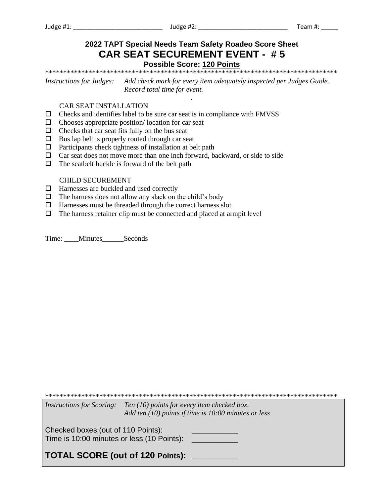Judge #1:  $\overline{\phantom{0}}$ 

## 2022 TAPT Special Needs Team Safety Roadeo Score Sheet **CAR SEAT SECUREMENT EVENT - #5 Possible Score: 120 Points**

Add check mark for every item adequately inspected per Judges Guide. **Instructions for Judges:** Record total time for event.

#### **CAR SEAT INSTALLATION**

- $\Box$  Checks and identifies label to be sure car seat is in compliance with FMVSS
- $\Box$  Chooses appropriate position/location for car seat
- $\Box$  Checks that car seat fits fully on the bus seat
- $\Box$  Bus lap belt is properly routed through car seat
- $\Box$  Participants check tightness of installation at belt path
- $\Box$  Car seat does not move more than one inch forward, backward, or side to side
- $\Box$  The seatbelt buckle is forward of the belt path

#### **CHILD SECUREMENT**

- $\Box$  Harnesses are buckled and used correctly
- $\Box$  The harness does not allow any slack on the child's body
- $\Box$  Harnesses must be threaded through the correct harness slot
- $\Box$  The harness retainer clip must be connected and placed at armpit level

Time: Minutes Seconds

Instructions for Scoring: Ten (10) points for every item checked box. Add ten  $(10)$  points if time is  $10:00$  minutes or less Checked boxes (out of 110 Points): Time is 10:00 minutes or less (10 Points): \_\_\_\_\_\_\_\_\_\_\_\_\_ TOTAL SCORE (out of 120 Points): \_\_\_\_\_\_\_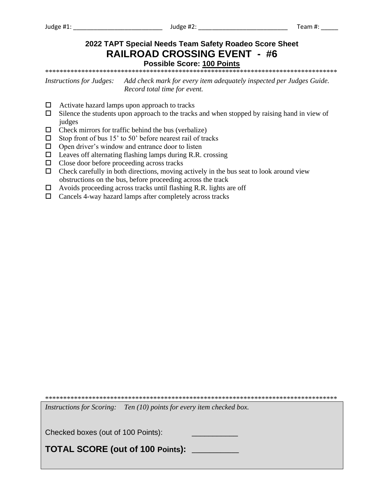## **2022 TAPT Special Needs Team Safety Roadeo Score Sheet RAILROAD CROSSING EVENT - #6 Possible Score: 100 Points**

\*\*\*\*\*\*\*\*\*\*\*\*\*\*\*\*\*\*\*\*\*\*\*\*\*\*\*\*\*\*\*\*\*\*\*\*\*\*\*\*\*\*\*\*\*\*\*\*\*\*\*\*\*\*\*\*\*\*\*\*\*\*\*\*\*\*\*\*\*\*\*\*\*\*\*\*\*\*\*\*\*

*Instructions for Judges: Add check mark for every item adequately inspected per Judges Guide. Record total time for event.*

- $\Box$  Activate hazard lamps upon approach to tracks
- $\square$  Silence the students upon approach to the tracks and when stopped by raising hand in view of judges
- $\Box$  Check mirrors for traffic behind the bus (verbalize)
- $\Box$  Stop front of bus 15' to 50' before nearest rail of tracks
- $\Box$  Open driver's window and entrance door to listen
- $\Box$  Leaves off alternating flashing lamps during R.R. crossing
- $\Box$  Close door before proceeding across tracks
- $\Box$  Check carefully in both directions, moving actively in the bus seat to look around view obstructions on the bus, before proceeding across the track
- $\Box$  Avoids proceeding across tracks until flashing R.R. lights are off
- $\Box$  Cancels 4-way hazard lamps after completely across tracks

\*\*\*\*\*\*\*\*\*\*\*\*\*\*\*\*\*\*\*\*\*\*\*\*\*\*\*\*\*\*\*\*\*\*\*\*\*\*\*\*\*\*\*\*\*\*\*\*\*\*\*\*\*\*\*\*\*\*\*\*\*\*\*\*\*\*\*\*\*\*\*\*\*\*\*\*\*\*\*\*\*

*Instructions for Scoring: Ten (10) points for every item checked box.* 

Checked boxes (out of 100 Points):

**TOTAL SCORE (out of 100 Points): \_\_\_\_\_\_\_\_\_\_\_\_\_**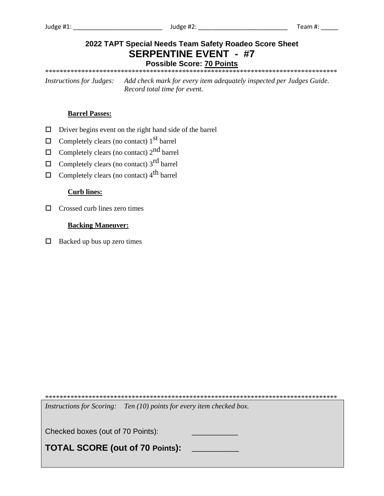## 2022 TAPT Special Needs Team Safety Roadeo Score Sheet **SERPENTINE EVENT - #7**

**Possible Score: 70 Points** 

Add check mark for every item adequately inspected per Judges Guide. **Instructions for Judges:** Record total time for event.

#### **Barrel Passes:**

- $\Box$  Driver begins event on the right hand side of the barrel
- $\Box$  Completely clears (no contact) 1<sup>st</sup> barrel
- $\Box$  Completely clears (no contact)  $2^{nd}$  barrel
- $\Box$  Completely clears (no contact) 3<sup>rd</sup> barrel
- $\Box$  Completely clears (no contact) 4<sup>th</sup> barrel

#### **Curb lines:**

 $\Box$  Crossed curb lines zero times

#### **Backing Maneuver:**

 $\Box$  Backed up bus up zero times

Instructions for Scoring: Ten (10) points for every item checked box.

Checked boxes (out of 70 Points):

**TOTAL SCORE (out of 70 Points):**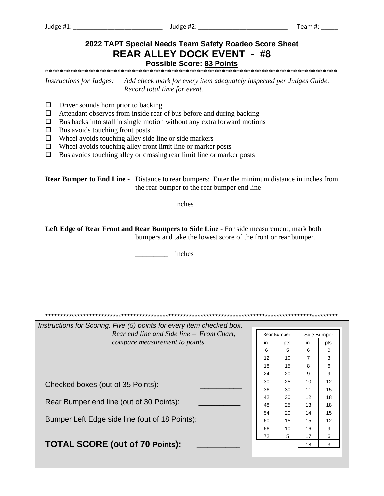#### 2022 TAPT Special Needs Team Safety Roadeo Score Sheet **REAR ALLEY DOCK EVENT - #8 Possible Score: 83 Points** Add check mark for every item adequately inspected per Judges Guide. *Instructions for Judges:* Record total time for event.  $\Box$  Driver sounds horn prior to backing  $\Box$  Attendant observes from inside rear of bus before and during backing  $\Box$  Bus backs into stall in single motion without any extra forward motions  $\Box$  Bus avoids touching front posts  $\Box$  Wheel avoids touching alley side line or side markers  $\Box$  Wheel avoids touching alley front limit line or marker posts  $\Box$  Bus avoids touching alley or crossing rear limit line or marker posts **Rear Bumper to End Line -** Distance to rear bumpers: Enter the minimum distance in inches from the rear bumper to the rear bumper end line inches Left Edge of Rear Front and Rear Bumpers to Side Line - For side measurement, mark both bumpers and take the lowest score of the front or rear bumper. inches Instructions for Scoring: Five (5) points for every item checked box. Rear end line and Side line  $-$  From Chart, Side Bumper Rear Bumper compare measurement to points in. pts. in. pts. 6  $5\phantom{.0}$ 6  $\mathbf 0$  $12$  $10<sup>10</sup>$  $\overline{7}$  $\overline{3}$ 8 18 15  $6\phantom{1}$ 24 20 9 9 30 25  $10<sup>1</sup>$  $12$ Checked boxes (out of 35 Points):  $11$ 15 36 30 42 30  $12$ 18 Rear Bumper end line (out of 30 Points): 48 25  $13$ 18 54 20  $14$ 15 Bumper Left Edge side line (out of 18 Points): \_\_\_\_\_\_\_\_\_\_ 60  $15$  $15$  $12$ 66  $10<sup>1</sup>$  $16$ 9 72  $5\overline{)}$ 17 6 **TOTAL SCORE (out of 70 Points):** 18  $\overline{3}$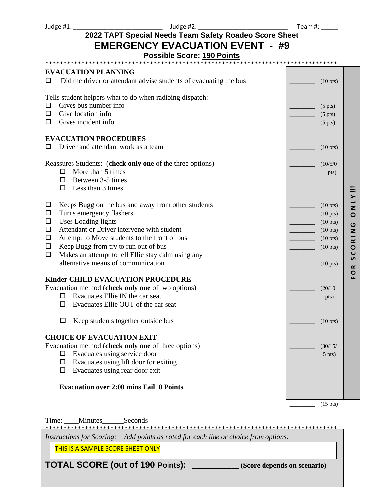Judge #1: \_\_\_\_\_\_\_\_\_\_\_\_\_\_\_\_\_\_\_\_\_\_\_\_\_\_ Judge #2: \_\_\_\_\_\_\_\_\_\_\_\_\_\_\_\_\_\_\_\_\_\_\_\_\_\_ Team #: \_\_\_\_\_

## **2022 TAPT Special Needs Team Safety Roadeo Score Sheet EMERGENCY EVACUATION EVENT - #9**

#### **Possible Score: 190 Points**

\*\*\*\*\*\*\*\*\*\*\*\*\*\*\*\*\*\*\*\*\*\*\*\*\*\*\*\*\*\*\*\*\*\*\*\*\*\*\*\*\*\*\*\*\*\*\*\*\*\*\*\*\*\*\*\*\*\*\*\*\*\*\*\*\*\*\*\*\*\*\*\*\*\*\*\*\*\*\*\*\*

| <b>EVACUATION PLANNING</b><br>Did the driver or attendant advise students of evacuating the bus<br>ப | $(10 \text{ pts})$ |           |  |
|------------------------------------------------------------------------------------------------------|--------------------|-----------|--|
|                                                                                                      |                    |           |  |
| Tells student helpers what to do when radioing dispatch:                                             |                    |           |  |
| Gives bus number info<br>◻                                                                           | $(5 \text{ pts})$  |           |  |
| Give location info<br>ப                                                                              | $(5 \text{ pts})$  |           |  |
| Gives incident info<br>◻                                                                             | $(5 \text{ pts})$  |           |  |
| <b>EVACUATION PROCEDURES</b>                                                                         |                    |           |  |
| Driver and attendant work as a team<br>ப                                                             | $(10 \text{ pts})$ |           |  |
| Reassures Students: (check only one of the three options)                                            | (10/5/0)           |           |  |
| More than 5 times<br>0                                                                               | pts)               |           |  |
| Between 3-5 times<br>□                                                                               |                    |           |  |
| $\Box$<br>Less than 3 times                                                                          |                    |           |  |
| Keeps Bugg on the bus and away from other students<br>◻                                              | $(10 \text{ pts})$ | Z         |  |
| Turns emergency flashers<br>□                                                                        | $(10 \text{ pts})$ | $\circ$   |  |
| <b>Uses Loading lights</b><br>□                                                                      | $(10 \text{ pts})$ | ပ         |  |
| Attendant or Driver intervene with student<br>□                                                      | $(10 \text{ pts})$ | Z         |  |
| Attempt to Move students to the front of bus<br>□                                                    | $(10 \text{ pts})$ | $\approx$ |  |
| $\Box$<br>Keep Bugg from try to run out of bus                                                       | $(10 \text{ pts})$ | $\circ$   |  |
| Makes an attempt to tell Ellie stay calm using any<br>$\Box$                                         |                    | ပ<br>S    |  |
| alternative means of communication                                                                   | $(10 \text{ pts})$ | ≃         |  |
| <b>Kinder CHILD EVACUATION PROCEDURE</b>                                                             |                    | O<br>Щ    |  |
| Evacuation method (check only one of two options)                                                    | (20/10)            |           |  |
| Evacuates Ellie IN the car seat<br>□.                                                                | pts)               |           |  |
| Evacuates Ellie OUT of the car seat<br>◻                                                             |                    |           |  |
| Keep students together outside bus<br>□                                                              | $(10 \text{ pts})$ |           |  |
| <b>CHOICE OF EVACUATION EXIT</b>                                                                     |                    |           |  |
| Evacuation method (check only one of three options)                                                  | (30/15/            |           |  |
| Evacuates using service door<br>◻                                                                    | $5$ pts)           |           |  |
| Evacuates using lift door for exiting<br>□                                                           |                    |           |  |
| Evacuates using rear door exit<br>$\Box$                                                             |                    |           |  |
| <b>Evacuation over 2:00 mins Fail 0 Points</b>                                                       |                    |           |  |
|                                                                                                      |                    |           |  |

 $\qquad \qquad$  (15 pts)

Time: \_\_\_\_Minutes\_\_\_\_\_\_Seconds

\*\*\*\*\*\*\*\*\*\*\*\*\*\*\*\*\*\*\*\*\*\*\*\*\*\*\*\*\*\*\*\*\*\*\*\*\*\*\*\*\*\*\*\*\*\*\*\*\*\*\*\*\*\*\*\*\*\*\*\*\*\*\*\*\*\*\*\*\*\*\*\*\*\*\*\*\*\*\*\*\*

*Instructions for Scoring: Add points as noted for each line or choice from options.* 

THIS IS A SAMPLE SCORE SHEET ONLY

**TOTAL SCORE (out of 190 Points): \_\_\_\_\_\_\_\_\_\_\_\_\_ (Score depends on scenario)**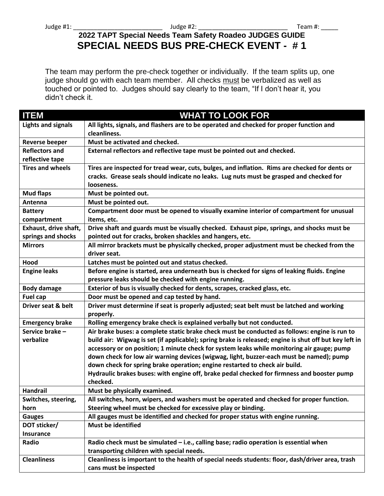## **2022 TAPT Special Needs Team Safety Roadeo JUDGES GUIDE SPECIAL NEEDS BUS PRE-CHECK EVENT - # 1**

The team may perform the pre-check together or individually. If the team splits up, one judge should go with each team member. All checks must be verbalized as well as touched or pointed to. Judges should say clearly to the team, "If I don't hear it, you didn't check it.

| <b>ITEM</b>                 | <b>WHAT TO LOOK FOR</b>                                                                                                                                                                                                                                          |
|-----------------------------|------------------------------------------------------------------------------------------------------------------------------------------------------------------------------------------------------------------------------------------------------------------|
| <b>Lights and signals</b>   | All lights, signals, and flashers are to be operated and checked for proper function and                                                                                                                                                                         |
|                             | cleanliness.                                                                                                                                                                                                                                                     |
| <b>Reverse beeper</b>       | Must be activated and checked.                                                                                                                                                                                                                                   |
| <b>Reflectors and</b>       | External reflectors and reflective tape must be pointed out and checked.                                                                                                                                                                                         |
| reflective tape             |                                                                                                                                                                                                                                                                  |
| <b>Tires and wheels</b>     | Tires are inspected for tread wear, cuts, bulges, and inflation. Rims are checked for dents or                                                                                                                                                                   |
|                             | cracks. Grease seals should indicate no leaks. Lug nuts must be grasped and checked for                                                                                                                                                                          |
|                             | looseness.                                                                                                                                                                                                                                                       |
| <b>Mud flaps</b>            | Must be pointed out.                                                                                                                                                                                                                                             |
| Antenna                     | Must be pointed out.                                                                                                                                                                                                                                             |
| <b>Battery</b>              | Compartment door must be opened to visually examine interior of compartment for unusual                                                                                                                                                                          |
| compartment                 | items, etc.                                                                                                                                                                                                                                                      |
| Exhaust, drive shaft,       | Drive shaft and guards must be visually checked. Exhaust pipe, springs, and shocks must be                                                                                                                                                                       |
| springs and shocks          | pointed out for cracks, broken shackles and hangers, etc.                                                                                                                                                                                                        |
| <b>Mirrors</b>              | All mirror brackets must be physically checked, proper adjustment must be checked from the                                                                                                                                                                       |
|                             | driver seat.                                                                                                                                                                                                                                                     |
| Hood                        | Latches must be pointed out and status checked.                                                                                                                                                                                                                  |
| <b>Engine leaks</b>         | Before engine is started, area underneath bus is checked for signs of leaking fluids. Engine                                                                                                                                                                     |
|                             | pressure leaks should be checked with engine running.                                                                                                                                                                                                            |
| <b>Body damage</b>          | Exterior of bus is visually checked for dents, scrapes, cracked glass, etc.                                                                                                                                                                                      |
| <b>Fuel cap</b>             | Door must be opened and cap tested by hand.                                                                                                                                                                                                                      |
| Driver seat & belt          | Driver must determine if seat is properly adjusted; seat belt must be latched and working                                                                                                                                                                        |
|                             | properly.                                                                                                                                                                                                                                                        |
| <b>Emergency brake</b>      | Rolling emergency brake check is explained verbally but not conducted.                                                                                                                                                                                           |
| Service brake -             | Air brake buses: a complete static brake check must be conducted as follows: engine is run to                                                                                                                                                                    |
| verbalize                   | build air: Wigwag is set (if applicable); spring brake is released; engine is shut off but key left in                                                                                                                                                           |
|                             | accessory or on position; 1 minute check for system leaks while monitoring air gauge; pump                                                                                                                                                                       |
|                             | down check for low air warning devices (wigwag, light, buzzer-each must be named); pump                                                                                                                                                                          |
|                             | down check for spring brake operation; engine restarted to check air build.                                                                                                                                                                                      |
|                             | Hydraulic brakes buses: with engine off, brake pedal checked for firmness and booster pump                                                                                                                                                                       |
|                             | checked.                                                                                                                                                                                                                                                         |
| Handrail                    | Must be physically examined.                                                                                                                                                                                                                                     |
| Switches, steering,         | All switches, horn, wipers, and washers must be operated and checked for proper function.                                                                                                                                                                        |
| horn                        | Steering wheel must be checked for excessive play or binding.                                                                                                                                                                                                    |
| <b>Gauges</b>               | All gauges must be identified and checked for proper status with engine running.<br><b>Must be identified</b>                                                                                                                                                    |
| DOT sticker/                |                                                                                                                                                                                                                                                                  |
| Insurance                   |                                                                                                                                                                                                                                                                  |
|                             |                                                                                                                                                                                                                                                                  |
|                             |                                                                                                                                                                                                                                                                  |
|                             |                                                                                                                                                                                                                                                                  |
| Radio<br><b>Cleanliness</b> | Radio check must be simulated – i.e., calling base; radio operation is essential when<br>transporting children with special needs.<br>Cleanliness is important to the health of special needs students: floor, dash/driver area, trash<br>cans must be inspected |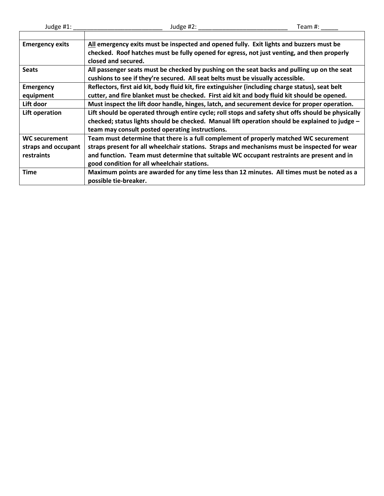| <b>Emergency exits</b> | All emergency exits must be inspected and opened fully. Exit lights and buzzers must be            |
|------------------------|----------------------------------------------------------------------------------------------------|
|                        | checked. Roof hatches must be fully opened for egress, not just venting, and then properly         |
|                        | closed and secured.                                                                                |
| <b>Seats</b>           | All passenger seats must be checked by pushing on the seat backs and pulling up on the seat        |
|                        | cushions to see if they're secured. All seat belts must be visually accessible.                    |
| <b>Emergency</b>       | Reflectors, first aid kit, body fluid kit, fire extinguisher (including charge status), seat belt  |
| equipment              | cutter, and fire blanket must be checked. First aid kit and body fluid kit should be opened.       |
| Lift door              | Must inspect the lift door handle, hinges, latch, and securement device for proper operation.      |
| Lift operation         | Lift should be operated through entire cycle; roll stops and safety shut offs should be physically |
|                        | checked; status lights should be checked. Manual lift operation should be explained to judge -     |
|                        | team may consult posted operating instructions.                                                    |
| <b>WC securement</b>   | Team must determine that there is a full complement of properly matched WC securement              |
| straps and occupant    | straps present for all wheelchair stations. Straps and mechanisms must be inspected for wear       |
| restraints             | and function. Team must determine that suitable WC occupant restraints are present and in          |
|                        | good condition for all wheelchair stations.                                                        |
| <b>Time</b>            | Maximum points are awarded for any time less than 12 minutes. All times must be noted as a         |
|                        | possible tie-breaker.                                                                              |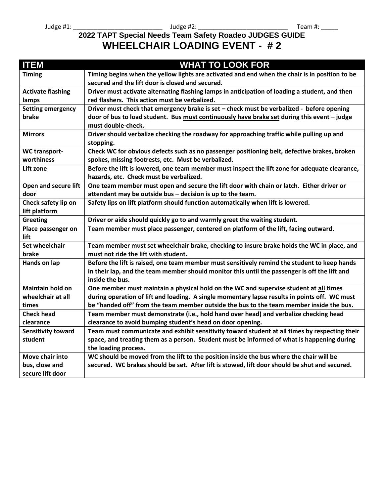## **2022 TAPT Special Needs Team Safety Roadeo JUDGES GUIDE WHEELCHAIR LOADING EVENT - # 2**

| <b>ITEM</b>               | <b>WHAT TO LOOK FOR</b>                                                                        |
|---------------------------|------------------------------------------------------------------------------------------------|
| <b>Timing</b>             | Timing begins when the yellow lights are activated and end when the chair is in position to be |
|                           | secured and the lift door is closed and secured.                                               |
| <b>Activate flashing</b>  | Driver must activate alternating flashing lamps in anticipation of loading a student, and then |
| lamps                     | red flashers. This action must be verbalized.                                                  |
| <b>Setting emergency</b>  | Driver must check that emergency brake is set - check must be verbalized - before opening      |
| brake                     | door of bus to load student. Bus must continuously have brake set during this event - judge    |
|                           | must double-check.                                                                             |
| <b>Mirrors</b>            | Driver should verbalize checking the roadway for approaching traffic while pulling up and      |
|                           | stopping.                                                                                      |
| <b>WC transport-</b>      | Check WC for obvious defects such as no passenger positioning belt, defective brakes, broken   |
| worthiness                | spokes, missing footrests, etc. Must be verbalized.                                            |
| Lift zone                 | Before the lift is lowered, one team member must inspect the lift zone for adequate clearance, |
|                           | hazards, etc. Check must be verbalized.                                                        |
| Open and secure lift      | One team member must open and secure the lift door with chain or latch. Either driver or       |
| door                      | attendant may be outside bus - decision is up to the team.                                     |
| Check safety lip on       | Safety lips on lift platform should function automatically when lift is lowered.               |
| lift platform             |                                                                                                |
| <b>Greeting</b>           | Driver or aide should quickly go to and warmly greet the waiting student.                      |
| Place passenger on        | Team member must place passenger, centered on platform of the lift, facing outward.            |
| lift                      |                                                                                                |
| <b>Set wheelchair</b>     | Team member must set wheelchair brake, checking to insure brake holds the WC in place, and     |
| brake                     | must not ride the lift with student.                                                           |
| Hands on lap              | Before the lift is raised, one team member must sensitively remind the student to keep hands   |
|                           | in their lap, and the team member should monitor this until the passenger is off the lift and  |
|                           | inside the bus.                                                                                |
| <b>Maintain hold on</b>   | One member must maintain a physical hold on the WC and supervise student at all times          |
| wheelchair at all         | during operation of lift and loading. A single momentary lapse results in points off. WC must  |
| times                     | be "handed off" from the team member outside the bus to the team member inside the bus.        |
| <b>Check head</b>         | Team member must demonstrate (i.e., hold hand over head) and verbalize checking head           |
| clearance                 | clearance to avoid bumping student's head on door opening.                                     |
| <b>Sensitivity toward</b> | Team must communicate and exhibit sensitivity toward student at all times by respecting their  |
| student                   | space, and treating them as a person. Student must be informed of what is happening during     |
|                           | the loading process.                                                                           |
| Move chair into           | WC should be moved from the lift to the position inside the bus where the chair will be        |
| bus, close and            | secured. WC brakes should be set. After lift is stowed, lift door should be shut and secured.  |
| secure lift door          |                                                                                                |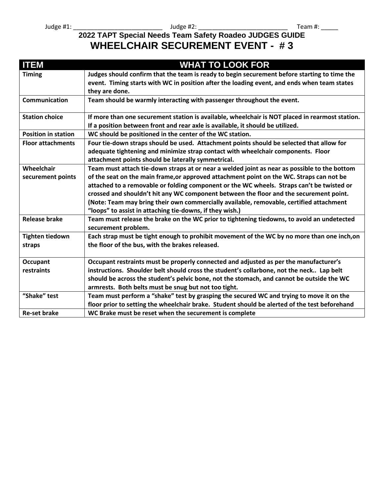## **2022 TAPT Special Needs Team Safety Roadeo JUDGES GUIDE WHEELCHAIR SECUREMENT EVENT - # 3**

| <b>ITEM</b>                | <b>WHAT TO LOOK FOR</b>                                                                         |
|----------------------------|-------------------------------------------------------------------------------------------------|
| <b>Timing</b>              | Judges should confirm that the team is ready to begin securement before starting to time the    |
|                            | event. Timing starts with WC in position after the loading event, and ends when team states     |
|                            | they are done.                                                                                  |
| <b>Communication</b>       | Team should be warmly interacting with passenger throughout the event.                          |
| <b>Station choice</b>      | If more than one securement station is available, wheelchair is NOT placed in rearmost station. |
|                            | If a position between front and rear axle is available, it should be utilized.                  |
| <b>Position in station</b> | WC should be positioned in the center of the WC station.                                        |
| <b>Floor attachments</b>   | Four tie-down straps should be used. Attachment points should be selected that allow for        |
|                            | adequate tightening and minimize strap contact with wheelchair components. Floor                |
|                            | attachment points should be laterally symmetrical.                                              |
| Wheelchair                 | Team must attach tie-down straps at or near a welded joint as near as possible to the bottom    |
| securement points          | of the seat on the main frame, or approved attachment point on the WC. Straps can not be        |
|                            | attached to a removable or folding component or the WC wheels. Straps can't be twisted or       |
|                            | crossed and shouldn't hit any WC component between the floor and the securement point.          |
|                            | (Note: Team may bring their own commercially available, removable, certified attachment         |
|                            | "loops" to assist in attaching tie-downs, if they wish.)                                        |
| <b>Release brake</b>       | Team must release the brake on the WC prior to tightening tiedowns, to avoid an undetected      |
|                            | securement problem.                                                                             |
| <b>Tighten tiedown</b>     | Each strap must be tight enough to prohibit movement of the WC by no more than one inch, on     |
| straps                     | the floor of the bus, with the brakes released.                                                 |
| <b>Occupant</b>            | Occupant restraints must be properly connected and adjusted as per the manufacturer's           |
| restraints                 | instructions. Shoulder belt should cross the student's collarbone, not the neck Lap belt        |
|                            | should be across the student's pelvic bone, not the stomach, and cannot be outside the WC       |
|                            | armrests. Both belts must be snug but not too tight.                                            |
| "Shake" test               | Team must perform a "shake" test by grasping the secured WC and trying to move it on the        |
|                            | floor prior to setting the wheelchair brake. Student should be alerted of the test beforehand   |
| <b>Re-set brake</b>        | WC Brake must be reset when the securement is complete                                          |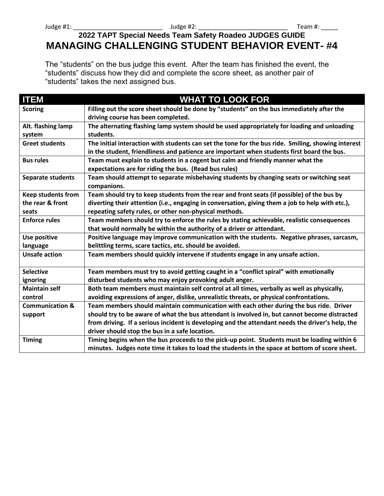## **2022 TAPT Special Needs Team Safety Roadeo JUDGES GUIDE MANAGING CHALLENGING STUDENT BEHAVIOR EVENT- #4**

The "students" on the bus judge this event. After the team has finished the event, the "students" discuss how they did and complete the score sheet, as another pair of "students" takes the next assigned bus.

| <b>ITEM</b>                | <b>WHAT TO LOOK FOR</b>                                                                                                                                                                          |
|----------------------------|--------------------------------------------------------------------------------------------------------------------------------------------------------------------------------------------------|
| <b>Scoring</b>             | Filling out the score sheet should be done by "students" on the bus immediately after the<br>driving course has been completed.                                                                  |
| Alt. flashing lamp         | The alternating flashing lamp system should be used appropriately for loading and unloading                                                                                                      |
| system                     | students.                                                                                                                                                                                        |
| <b>Greet students</b>      | The initial interaction with students can set the tone for the bus ride. Smiling, showing interest<br>in the student, friendliness and patience are important when students first board the bus. |
| <b>Bus rules</b>           | Team must explain to students in a cogent but calm and friendly manner what the                                                                                                                  |
|                            | expectations are for riding the bus. (Read bus rules)                                                                                                                                            |
| Separate students          | Team should attempt to separate misbehaving students by changing seats or switching seat<br>companions.                                                                                          |
| <b>Keep students from</b>  | Team should try to keep students from the rear and front seats (if possible) of the bus by                                                                                                       |
| the rear & front           | diverting their attention (i.e., engaging in conversation, giving them a job to help with etc.),                                                                                                 |
| seats                      | repeating safety rules, or other non-physical methods.                                                                                                                                           |
| <b>Enforce rules</b>       | Team members should try to enforce the rules by stating achievable, realistic consequences                                                                                                       |
|                            | that would normally be within the authority of a driver or attendant.                                                                                                                            |
| Use positive               | Positive language may improve communication with the students. Negative phrases, sarcasm,                                                                                                        |
| language                   | belittling terms, scare tactics, etc. should be avoided.                                                                                                                                         |
| <b>Unsafe action</b>       | Team members should quickly intervene if students engage in any unsafe action.                                                                                                                   |
| <b>Selective</b>           | Team members must try to avoid getting caught in a "conflict spiral" with emotionally                                                                                                            |
| ignoring                   | disturbed students who may enjoy provoking adult anger.                                                                                                                                          |
| <b>Maintain self</b>       | Both team members must maintain self control at all times, verbally as well as physically,                                                                                                       |
| control                    | avoiding expressions of anger, dislike, unrealistic threats, or physical confrontations.                                                                                                         |
| <b>Communication &amp;</b> | Team members should maintain communication with each other during the bus ride. Driver                                                                                                           |
| support                    | should try to be aware of what the bus attendant is involved in, but cannot become distracted                                                                                                    |
|                            | from driving. If a serious incident is developing and the attendant needs the driver's help, the                                                                                                 |
|                            | driver should stop the bus in a safe location.                                                                                                                                                   |
| <b>Timing</b>              | Timing begins when the bus proceeds to the pick-up point. Students must be loading within 6                                                                                                      |
|                            | minutes. Judges note time it takes to load the students in the space at bottom of score sheet.                                                                                                   |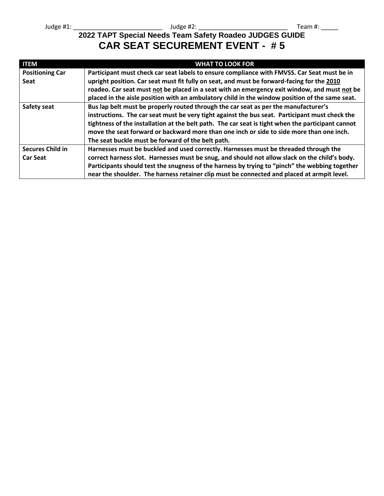## **2022 TAPT Special Needs Team Safety Roadeo JUDGES GUIDE CAR SEAT SECUREMENT EVENT - # 5**

| <b>ITEM</b>             | <b>WHAT TO LOOK FOR</b>                                                                           |
|-------------------------|---------------------------------------------------------------------------------------------------|
| <b>Positioning Car</b>  | Participant must check car seat labels to ensure compliance with FMVSS. Car Seat must be in       |
| <b>Seat</b>             | upright position. Car seat must fit fully on seat, and must be forward-facing for the 2010        |
|                         | roadeo. Car seat must not be placed in a seat with an emergency exit window, and must not be      |
|                         | placed in the aisle position with an ambulatory child in the window position of the same seat.    |
| Safety seat             | Bus lap belt must be properly routed through the car seat as per the manufacturer's               |
|                         | instructions. The car seat must be very tight against the bus seat. Participant must check the    |
|                         | tightness of the installation at the belt path. The car seat is tight when the participant cannot |
|                         | move the seat forward or backward more than one inch or side to side more than one inch.          |
|                         | The seat buckle must be forward of the belt path.                                                 |
| <b>Secures Child in</b> | Harnesses must be buckled and used correctly. Harnesses must be threaded through the              |
| <b>Car Seat</b>         | correct harness slot. Harnesses must be snug, and should not allow slack on the child's body.     |
|                         | Participants should test the snugness of the harness by trying to "pinch" the webbing together    |
|                         | near the shoulder. The harness retainer clip must be connected and placed at armpit level.        |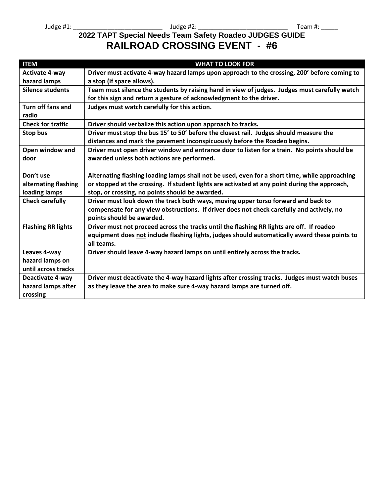## **2022 TAPT Special Needs Team Safety Roadeo JUDGES GUIDE RAILROAD CROSSING EVENT - #6**

| <b>ITEM</b>               | <b>WHAT TO LOOK FOR</b>                                                                        |
|---------------------------|------------------------------------------------------------------------------------------------|
| <b>Activate 4-way</b>     | Driver must activate 4-way hazard lamps upon approach to the crossing, 200' before coming to   |
| hazard lamps              | a stop (if space allows).                                                                      |
| <b>Silence students</b>   | Team must silence the students by raising hand in view of judges. Judges must carefully watch  |
|                           | for this sign and return a gesture of acknowledgment to the driver.                            |
| Turn off fans and         | Judges must watch carefully for this action.                                                   |
| radio                     |                                                                                                |
| <b>Check for traffic</b>  | Driver should verbalize this action upon approach to tracks.                                   |
| Stop bus                  | Driver must stop the bus 15' to 50' before the closest rail. Judges should measure the         |
|                           | distances and mark the pavement inconspicuously before the Roadeo begins.                      |
| Open window and           | Driver must open driver window and entrance door to listen for a train. No points should be    |
| door                      | awarded unless both actions are performed.                                                     |
|                           |                                                                                                |
| Don't use                 | Alternating flashing loading lamps shall not be used, even for a short time, while approaching |
| alternating flashing      | or stopped at the crossing. If student lights are activated at any point during the approach,  |
| loading lamps             | stop, or crossing, no points should be awarded.                                                |
| <b>Check carefully</b>    | Driver must look down the track both ways, moving upper torso forward and back to              |
|                           | compensate for any view obstructions. If driver does not check carefully and actively, no      |
|                           | points should be awarded.                                                                      |
| <b>Flashing RR lights</b> | Driver must not proceed across the tracks until the flashing RR lights are off. If roadeo      |
|                           | equipment does not include flashing lights, judges should automatically award these points to  |
|                           | all teams.                                                                                     |
| Leaves 4-way              | Driver should leave 4-way hazard lamps on until entirely across the tracks.                    |
| hazard lamps on           |                                                                                                |
| until across tracks       |                                                                                                |
| Deactivate 4-way          | Driver must deactivate the 4-way hazard lights after crossing tracks. Judges must watch buses  |
| hazard lamps after        | as they leave the area to make sure 4-way hazard lamps are turned off.                         |
| crossing                  |                                                                                                |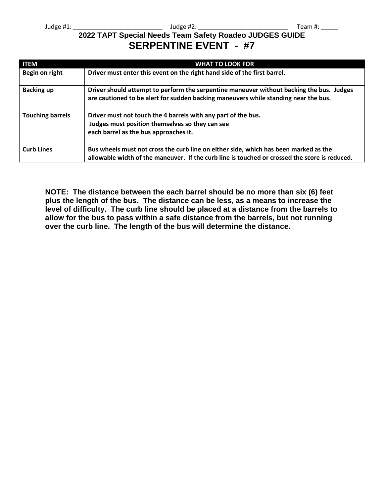## **2022 TAPT Special Needs Team Safety Roadeo JUDGES GUIDE SERPENTINE EVENT - #7**

| <b>ITEM</b>             | <b>WHAT TO LOOK FOR</b>                                                                                                                                                               |
|-------------------------|---------------------------------------------------------------------------------------------------------------------------------------------------------------------------------------|
| Begin on right          | Driver must enter this event on the right hand side of the first barrel.                                                                                                              |
| <b>Backing up</b>       | Driver should attempt to perform the serpentine maneuver without backing the bus. Judges<br>are cautioned to be alert for sudden backing maneuvers while standing near the bus.       |
| <b>Touching barrels</b> | Driver must not touch the 4 barrels with any part of the bus.<br>Judges must position themselves so they can see<br>each barrel as the bus approaches it.                             |
| <b>Curb Lines</b>       | Bus wheels must not cross the curb line on either side, which has been marked as the<br>allowable width of the maneuver. If the curb line is touched or crossed the score is reduced. |

**NOTE: The distance between the each barrel should be no more than six (6) feet plus the length of the bus. The distance can be less, as a means to increase the level of difficulty. The curb line should be placed at a distance from the barrels to allow for the bus to pass within a safe distance from the barrels, but not running over the curb line. The length of the bus will determine the distance.**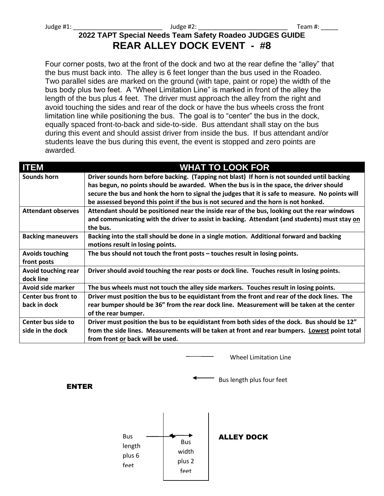## **2022 TAPT Special Needs Team Safety Roadeo JUDGES GUIDE REAR ALLEY DOCK EVENT - #8**

Four corner posts, two at the front of the dock and two at the rear define the "alley" that the bus must back into. The alley is 6 feet longer than the bus used in the Roadeo. Two parallel sides are marked on the ground (with tape, paint or rope) the width of the bus body plus two feet. A "Wheel Limitation Line" is marked in front of the alley the length of the bus plus 4 feet. The driver must approach the alley from the right and avoid touching the sides and rear of the dock or have the bus wheels cross the front limitation line while positioning the bus. The goal is to "center" the bus in the dock, equally spaced front-to-back and side-to-side. Bus attendant shall stay on the bus during this event and should assist driver from inside the bus. If bus attendant and/or students leave the bus during this event, the event is stopped and zero points are awarded.

| <b>ITEM</b>                | <b>WHAT TO LOOK FOR</b>                                                                          |
|----------------------------|--------------------------------------------------------------------------------------------------|
| Sounds horn                | Driver sounds horn before backing. (Tapping not blast) If horn is not sounded until backing      |
|                            | has begun, no points should be awarded. When the bus is in the space, the driver should          |
|                            | secure the bus and honk the horn to signal the judges that it is safe to measure. No points will |
|                            | be assessed beyond this point if the bus is not secured and the horn is not honked.              |
| <b>Attendant observes</b>  | Attendant should be positioned near the inside rear of the bus, looking out the rear windows     |
|                            | and communicating with the driver to assist in backing. Attendant (and students) must stay on    |
|                            | the bus.                                                                                         |
| <b>Backing maneuvers</b>   | Backing into the stall should be done in a single motion. Additional forward and backing         |
|                            | motions result in losing points.                                                                 |
| <b>Avoids touching</b>     | The bus should not touch the front posts - touches result in losing points.                      |
| front posts                |                                                                                                  |
| Avoid touching rear        | Driver should avoid touching the rear posts or dock line. Touches result in losing points.       |
| dock line                  |                                                                                                  |
| Avoid side marker          | The bus wheels must not touch the alley side markers. Touches result in losing points.           |
| <b>Center bus front to</b> | Driver must position the bus to be equidistant from the front and rear of the dock lines. The    |
| back in dock               | rear bumper should be 36" from the rear dock line. Measurement will be taken at the center       |
|                            | of the rear bumper.                                                                              |
| Center bus side to         | Driver must position the bus to be equidistant from both sides of the dock. Bus should be 12"    |
| side in the dock           | from the side lines. Measurements will be taken at front and rear bumpers. Lowest point total    |
|                            | from front or back will be used.                                                                 |

Wheel Limitation Line

ENTER

Bus length plus four feet